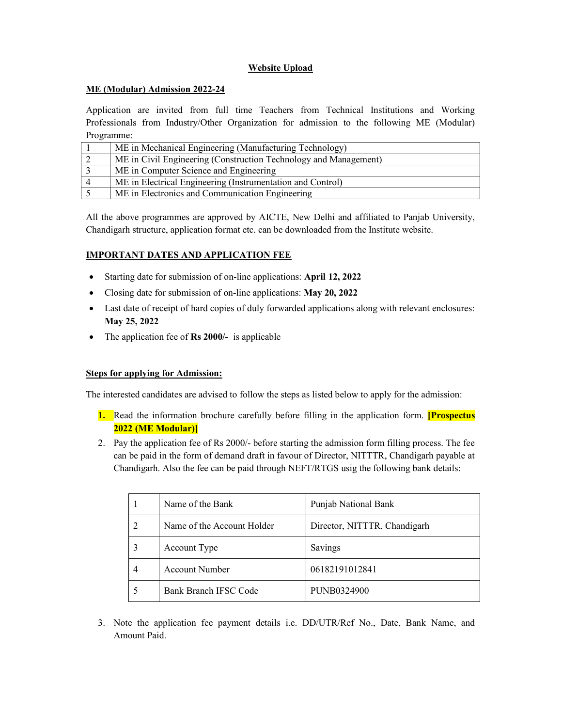# Website Upload

## ME (Modular) Admission 2022-24

Application are invited from full time Teachers from Technical Institutions and Working Professionals from Industry/Other Organization for admission to the following ME (Modular) Programme:

| ME in Mechanical Engineering (Manufacturing Technology)          |  |
|------------------------------------------------------------------|--|
| ME in Civil Engineering (Construction Technology and Management) |  |
| ME in Computer Science and Engineering                           |  |
| ME in Electrical Engineering (Instrumentation and Control)       |  |
| ME in Electronics and Communication Engineering                  |  |

All the above programmes are approved by AICTE, New Delhi and affiliated to Panjab University, Chandigarh structure, application format etc. can be downloaded from the Institute website.

## IMPORTANT DATES AND APPLICATION FEE

- Starting date for submission of on-line applications: April 12, 2022
- Closing date for submission of on-line applications: May 20, 2022
- Last date of receipt of hard copies of duly forwarded applications along with relevant enclosures: May 25, 2022
- The application fee of **Rs 2000**/- is applicable

### Steps for applying for Admission:

The interested candidates are advised to follow the steps as listed below to apply for the admission:

- 1. Read the information brochure carefully before filling in the application form. **[Prospectus**] 2022 (ME Modular)]
- 2. Pay the application fee of Rs 2000/- before starting the admission form filling process. The fee can be paid in the form of demand draft in favour of Director, NITTTR, Chandigarh payable at Chandigarh. Also the fee can be paid through NEFT/RTGS usig the following bank details:

|   | Name of the Bank           | Punjab National Bank         |
|---|----------------------------|------------------------------|
|   | Name of the Account Holder | Director, NITTTR, Chandigarh |
| 3 | Account Type               | Savings                      |
| 4 | Account Number             | 06182191012841               |
|   | Bank Branch IFSC Code      | PUNB0324900                  |

3. Note the application fee payment details i.e. DD/UTR/Ref No., Date, Bank Name, and Amount Paid.